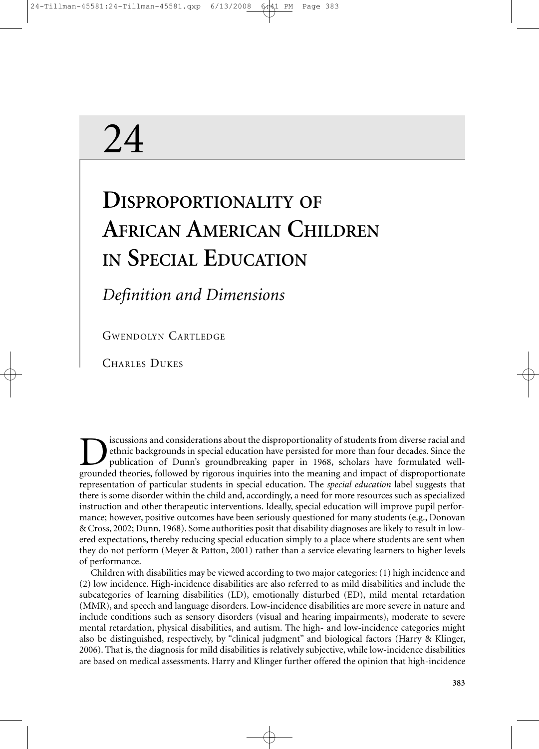# 24

## **DISPROPORTIONALITY OF AFRICAN AMERICAN CHILDREN IN SPECIAL EDUCATION**

### *Definition and Dimensions*

GWENDOLYN CARTLEDGE

CHARLES DUKES

**Example 18 Secusions and considerations about the disproportionality of students from diverse racial and ethnic backgrounds in special education have persisted for more than four decades. Since the publication of Dunn's g** ethnic backgrounds in special education have persisted for more than four decades. Since the publication of Dunn's groundbreaking paper in 1968, scholars have formulated wellgrounded theories, followed by rigorous inquiries into the meaning and impact of disproportionate representation of particular students in special education. The *special education* label suggests that there is some disorder within the child and, accordingly, a need for more resources such as specialized instruction and other therapeutic interventions. Ideally, special education will improve pupil performance; however, positive outcomes have been seriously questioned for many students (e.g., Donovan & Cross, 2002; Dunn, 1968). Some authorities posit that disability diagnoses are likely to result in lowered expectations, thereby reducing special education simply to a place where students are sent when they do not perform (Meyer & Patton, 2001) rather than a service elevating learners to higher levels of performance.

Children with disabilities may be viewed according to two major categories: (1) high incidence and (2) low incidence. High-incidence disabilities are also referred to as mild disabilities and include the subcategories of learning disabilities (LD), emotionally disturbed (ED), mild mental retardation (MMR), and speech and language disorders. Low-incidence disabilities are more severe in nature and include conditions such as sensory disorders (visual and hearing impairments), moderate to severe mental retardation, physical disabilities, and autism. The high- and low-incidence categories might also be distinguished, respectively, by "clinical judgment" and biological factors (Harry & Klinger, 2006). That is, the diagnosis for mild disabilities is relatively subjective, while low-incidence disabilities are based on medical assessments. Harry and Klinger further offered the opinion that high-incidence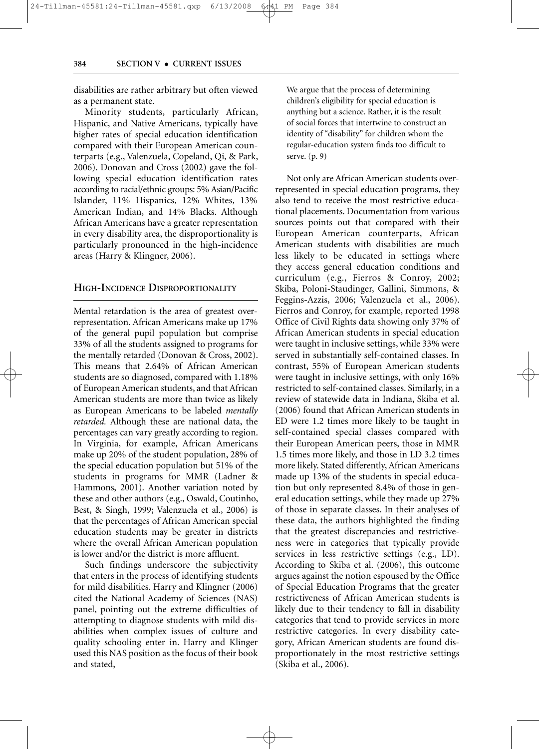disabilities are rather arbitrary but often viewed as a permanent state.

Minority students, particularly African, Hispanic, and Native Americans, typically have higher rates of special education identification compared with their European American counterparts (e.g., Valenzuela, Copeland, Qi, & Park, 2006). Donovan and Cross (2002) gave the following special education identification rates according to racial/ethnic groups: 5% Asian/Pacific Islander, 11% Hispanics, 12% Whites, 13% American Indian, and 14% Blacks. Although African Americans have a greater representation in every disability area, the disproportionality is particularly pronounced in the high-incidence areas (Harry & Klingner, 2006).

#### **HIGH-INCIDENCE DISPROPORTIONALITY**

Mental retardation is the area of greatest overrepresentation. African Americans make up 17% of the general pupil population but comprise 33% of all the students assigned to programs for the mentally retarded (Donovan & Cross, 2002). This means that 2.64% of African American students are so diagnosed, compared with 1.18% of European American students, and that African American students are more than twice as likely as European Americans to be labeled *mentally retarded.* Although these are national data, the percentages can vary greatly according to region. In Virginia, for example, African Americans make up 20% of the student population, 28% of the special education population but 51% of the students in programs for MMR (Ladner & Hammons, 2001). Another variation noted by these and other authors (e.g., Oswald, Coutinho, Best, & Singh, 1999; Valenzuela et al., 2006) is that the percentages of African American special education students may be greater in districts where the overall African American population is lower and/or the district is more affluent.

Such findings underscore the subjectivity that enters in the process of identifying students for mild disabilities. Harry and Klingner (2006) cited the National Academy of Sciences (NAS) panel, pointing out the extreme difficulties of attempting to diagnose students with mild disabilities when complex issues of culture and quality schooling enter in. Harry and Klinger used this NAS position as the focus of their book and stated,

We argue that the process of determining children's eligibility for special education is anything but a science. Rather, it is the result of social forces that intertwine to construct an identity of "disability" for children whom the regular-education system finds too difficult to serve. (p. 9)

Not only are African American students overrepresented in special education programs, they also tend to receive the most restrictive educational placements. Documentation from various sources points out that compared with their European American counterparts, African American students with disabilities are much less likely to be educated in settings where they access general education conditions and curriculum (e.g., Fierros & Conroy, 2002; Skiba, Poloni-Staudinger, Gallini, Simmons, & Feggins-Azzis, 2006; Valenzuela et al., 2006). Fierros and Conroy, for example, reported 1998 Office of Civil Rights data showing only 37% of African American students in special education were taught in inclusive settings, while 33% were served in substantially self-contained classes. In contrast, 55% of European American students were taught in inclusive settings, with only 16% restricted to self-contained classes. Similarly, in a review of statewide data in Indiana, Skiba et al. (2006) found that African American students in ED were 1.2 times more likely to be taught in self-contained special classes compared with their European American peers, those in MMR 1.5 times more likely, and those in LD 3.2 times more likely. Stated differently, African Americans made up 13% of the students in special education but only represented 8.4% of those in general education settings, while they made up 27% of those in separate classes. In their analyses of these data, the authors highlighted the finding that the greatest discrepancies and restrictiveness were in categories that typically provide services in less restrictive settings (e.g., LD). According to Skiba et al. (2006), this outcome argues against the notion espoused by the Office of Special Education Programs that the greater restrictiveness of African American students is likely due to their tendency to fall in disability categories that tend to provide services in more restrictive categories. In every disability category, African American students are found disproportionately in the most restrictive settings (Skiba et al., 2006).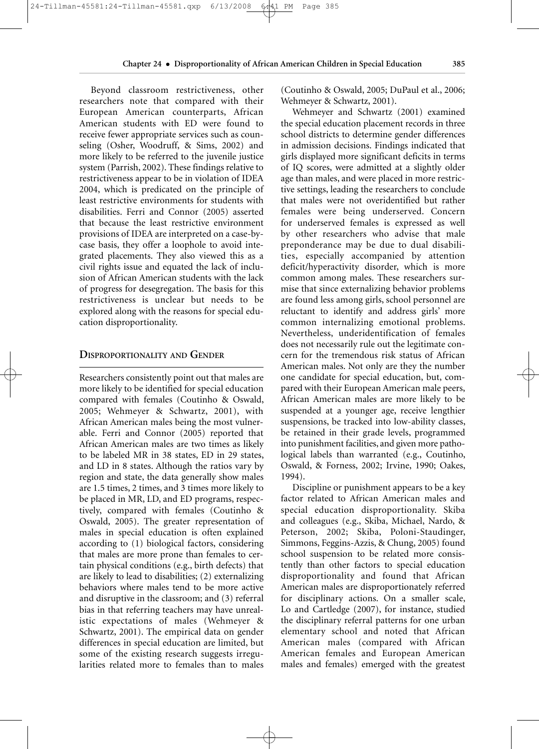Beyond classroom restrictiveness, other researchers note that compared with their European American counterparts, African American students with ED were found to receive fewer appropriate services such as counseling (Osher, Woodruff, & Sims, 2002) and more likely to be referred to the juvenile justice system (Parrish, 2002). These findings relative to restrictiveness appear to be in violation of IDEA 2004, which is predicated on the principle of least restrictive environments for students with disabilities. Ferri and Connor (2005) asserted that because the least restrictive environment provisions of IDEA are interpreted on a case-bycase basis, they offer a loophole to avoid integrated placements. They also viewed this as a civil rights issue and equated the lack of inclusion of African American students with the lack of progress for desegregation. The basis for this restrictiveness is unclear but needs to be explored along with the reasons for special education disproportionality.

#### **DISPROPORTIONALITY AND GENDER**

Researchers consistently point out that males are more likely to be identified for special education compared with females (Coutinho & Oswald, 2005; Wehmeyer & Schwartz, 2001), with African American males being the most vulnerable. Ferri and Connor (2005) reported that African American males are two times as likely to be labeled MR in 38 states, ED in 29 states, and LD in 8 states. Although the ratios vary by region and state, the data generally show males are 1.5 times, 2 times, and 3 times more likely to be placed in MR, LD, and ED programs, respectively, compared with females (Coutinho & Oswald, 2005). The greater representation of males in special education is often explained according to (1) biological factors, considering that males are more prone than females to certain physical conditions (e.g., birth defects) that are likely to lead to disabilities; (2) externalizing behaviors where males tend to be more active and disruptive in the classroom; and (3) referral bias in that referring teachers may have unrealistic expectations of males (Wehmeyer & Schwartz, 2001). The empirical data on gender differences in special education are limited, but some of the existing research suggests irregularities related more to females than to males (Coutinho & Oswald, 2005; DuPaul et al., 2006; Wehmeyer & Schwartz, 2001).

Wehmeyer and Schwartz (2001) examined the special education placement records in three school districts to determine gender differences in admission decisions. Findings indicated that girls displayed more significant deficits in terms of IQ scores, were admitted at a slightly older age than males, and were placed in more restrictive settings, leading the researchers to conclude that males were not overidentified but rather females were being underserved. Concern for underserved females is expressed as well by other researchers who advise that male preponderance may be due to dual disabilities, especially accompanied by attention deficit/hyperactivity disorder, which is more common among males. These researchers surmise that since externalizing behavior problems are found less among girls, school personnel are reluctant to identify and address girls' more common internalizing emotional problems. Nevertheless, underidentification of females does not necessarily rule out the legitimate concern for the tremendous risk status of African American males. Not only are they the number one candidate for special education, but, compared with their European American male peers, African American males are more likely to be suspended at a younger age, receive lengthier suspensions, be tracked into low-ability classes, be retained in their grade levels, programmed into punishment facilities, and given more pathological labels than warranted (e.g., Coutinho, Oswald, & Forness, 2002; Irvine, 1990; Oakes, 1994).

Discipline or punishment appears to be a key factor related to African American males and special education disproportionality. Skiba and colleagues (e.g., Skiba, Michael, Nardo, & Peterson, 2002; Skiba, Poloni-Staudinger, Simmons, Feggins-Azzis, & Chung, 2005) found school suspension to be related more consistently than other factors to special education disproportionality and found that African American males are disproportionately referred for disciplinary actions. On a smaller scale, Lo and Cartledge (2007), for instance, studied the disciplinary referral patterns for one urban elementary school and noted that African American males (compared with African American females and European American males and females) emerged with the greatest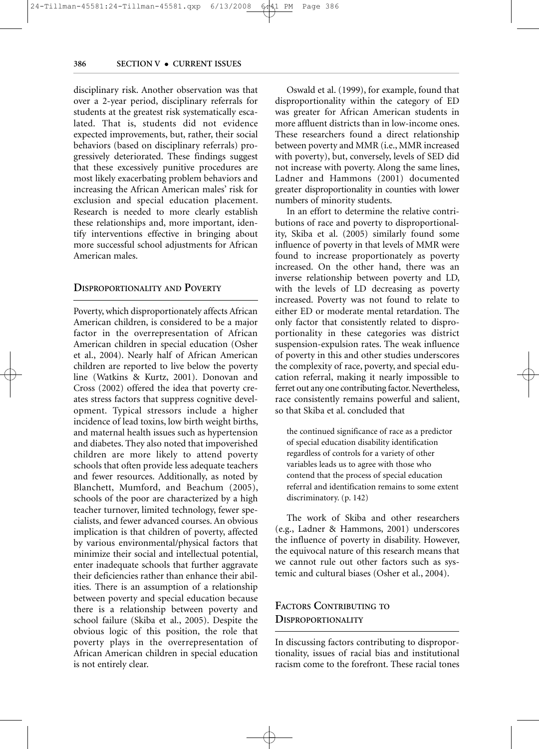disciplinary risk. Another observation was that over a 2-year period, disciplinary referrals for students at the greatest risk systematically escalated. That is, students did not evidence expected improvements, but, rather, their social behaviors (based on disciplinary referrals) progressively deteriorated. These findings suggest that these excessively punitive procedures are most likely exacerbating problem behaviors and increasing the African American males' risk for exclusion and special education placement. Research is needed to more clearly establish these relationships and, more important, identify interventions effective in bringing about more successful school adjustments for African American males.

#### **DISPROPORTIONALITY AND POVERTY**

Poverty, which disproportionately affects African American children, is considered to be a major factor in the overrepresentation of African American children in special education (Osher et al., 2004). Nearly half of African American children are reported to live below the poverty line (Watkins & Kurtz, 2001). Donovan and Cross (2002) offered the idea that poverty creates stress factors that suppress cognitive development. Typical stressors include a higher incidence of lead toxins, low birth weight births, and maternal health issues such as hypertension and diabetes. They also noted that impoverished children are more likely to attend poverty schools that often provide less adequate teachers and fewer resources. Additionally, as noted by Blanchett, Mumford, and Beachum (2005), schools of the poor are characterized by a high teacher turnover, limited technology, fewer specialists, and fewer advanced courses. An obvious implication is that children of poverty, affected by various environmental/physical factors that minimize their social and intellectual potential, enter inadequate schools that further aggravate their deficiencies rather than enhance their abilities. There is an assumption of a relationship between poverty and special education because there is a relationship between poverty and school failure (Skiba et al., 2005). Despite the obvious logic of this position, the role that poverty plays in the overrepresentation of African American children in special education is not entirely clear.

Oswald et al. (1999), for example, found that disproportionality within the category of ED was greater for African American students in more affluent districts than in low-income ones. These researchers found a direct relationship between poverty and MMR (i.e., MMR increased with poverty), but, conversely, levels of SED did not increase with poverty. Along the same lines, Ladner and Hammons (2001) documented greater disproportionality in counties with lower numbers of minority students.

In an effort to determine the relative contributions of race and poverty to disproportionality, Skiba et al. (2005) similarly found some influence of poverty in that levels of MMR were found to increase proportionately as poverty increased. On the other hand, there was an inverse relationship between poverty and LD, with the levels of LD decreasing as poverty increased. Poverty was not found to relate to either ED or moderate mental retardation. The only factor that consistently related to disproportionality in these categories was district suspension-expulsion rates. The weak influence of poverty in this and other studies underscores the complexity of race, poverty, and special education referral, making it nearly impossible to ferret out any one contributing factor. Nevertheless, race consistently remains powerful and salient, so that Skiba et al. concluded that

the continued significance of race as a predictor of special education disability identification regardless of controls for a variety of other variables leads us to agree with those who contend that the process of special education referral and identification remains to some extent discriminatory. (p. 142)

The work of Skiba and other researchers (e.g., Ladner & Hammons, 2001) underscores the influence of poverty in disability. However, the equivocal nature of this research means that we cannot rule out other factors such as systemic and cultural biases (Osher et al., 2004).

#### **FACTORS CONTRIBUTING TO DISPROPORTIONALITY**

In discussing factors contributing to disproportionality, issues of racial bias and institutional racism come to the forefront. These racial tones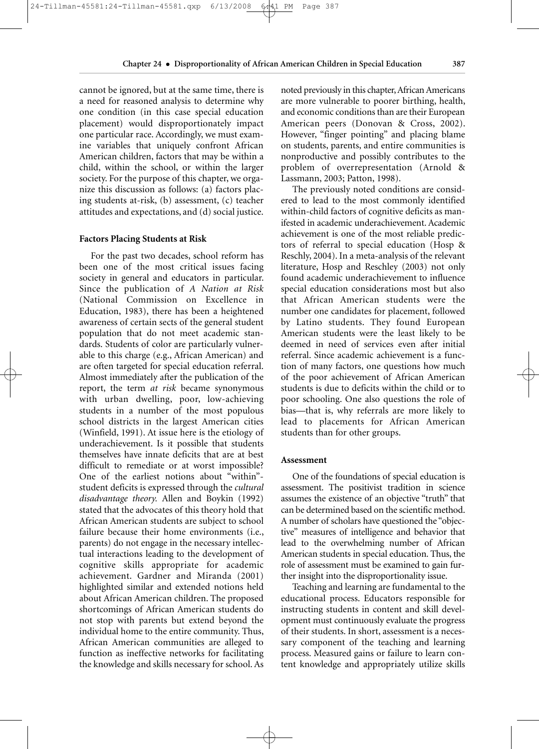**Chapter 24** • **Disproportionality of African American Children in Special Education 387**

cannot be ignored, but at the same time, there is a need for reasoned analysis to determine why one condition (in this case special education placement) would disproportionately impact one particular race. Accordingly, we must examine variables that uniquely confront African American children, factors that may be within a child, within the school, or within the larger society. For the purpose of this chapter, we organize this discussion as follows: (a) factors placing students at-risk, (b) assessment, (c) teacher attitudes and expectations, and (d) social justice.

#### **Factors Placing Students at Risk**

For the past two decades, school reform has been one of the most critical issues facing society in general and educators in particular. Since the publication of *A Nation at Risk* (National Commission on Excellence in Education, 1983), there has been a heightened awareness of certain sects of the general student population that do not meet academic standards. Students of color are particularly vulnerable to this charge (e.g., African American) and are often targeted for special education referral. Almost immediately after the publication of the report, the term *at risk* became synonymous with urban dwelling, poor, low-achieving students in a number of the most populous school districts in the largest American cities (Winfield, 1991). At issue here is the etiology of underachievement. Is it possible that students themselves have innate deficits that are at best difficult to remediate or at worst impossible? One of the earliest notions about "within" student deficits is expressed through the *cultural disadvantage theory.* Allen and Boykin (1992) stated that the advocates of this theory hold that African American students are subject to school failure because their home environments (i.e., parents) do not engage in the necessary intellectual interactions leading to the development of cognitive skills appropriate for academic achievement. Gardner and Miranda (2001) highlighted similar and extended notions held about African American children. The proposed shortcomings of African American students do not stop with parents but extend beyond the individual home to the entire community. Thus, African American communities are alleged to function as ineffective networks for facilitating the knowledge and skills necessary for school. As noted previously in this chapter, African Americans are more vulnerable to poorer birthing, health, and economic conditions than are their European American peers (Donovan & Cross, 2002). However, "finger pointing" and placing blame on students, parents, and entire communities is nonproductive and possibly contributes to the problem of overrepresentation (Arnold & Lassmann, 2003; Patton, 1998).

The previously noted conditions are considered to lead to the most commonly identified within-child factors of cognitive deficits as manifested in academic underachievement. Academic achievement is one of the most reliable predictors of referral to special education (Hosp & Reschly, 2004). In a meta-analysis of the relevant literature, Hosp and Reschley (2003) not only found academic underachievement to influence special education considerations most but also that African American students were the number one candidates for placement, followed by Latino students. They found European American students were the least likely to be deemed in need of services even after initial referral. Since academic achievement is a function of many factors, one questions how much of the poor achievement of African American students is due to deficits within the child or to poor schooling. One also questions the role of bias—that is, why referrals are more likely to lead to placements for African American students than for other groups.

#### **Assessment**

One of the foundations of special education is assessment. The positivist tradition in science assumes the existence of an objective "truth" that can be determined based on the scientific method. A number of scholars have questioned the "objective" measures of intelligence and behavior that lead to the overwhelming number of African American students in special education. Thus, the role of assessment must be examined to gain further insight into the disproportionality issue.

Teaching and learning are fundamental to the educational process. Educators responsible for instructing students in content and skill development must continuously evaluate the progress of their students. In short, assessment is a necessary component of the teaching and learning process. Measured gains or failure to learn content knowledge and appropriately utilize skills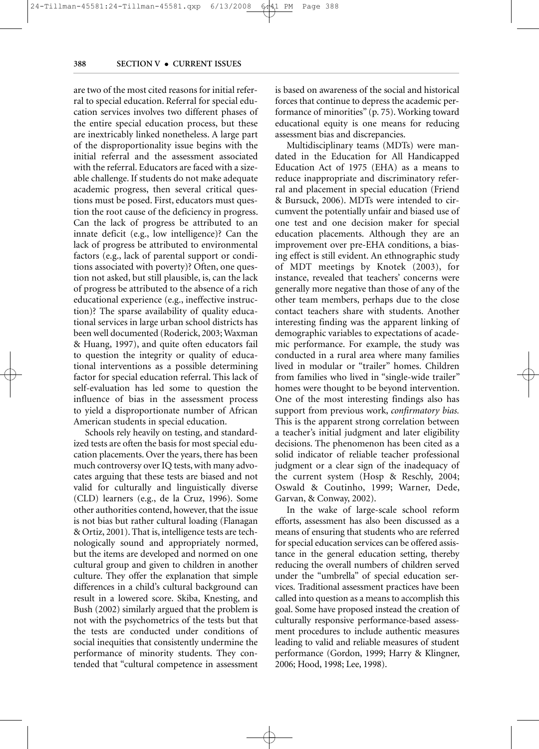are two of the most cited reasons for initial referral to special education. Referral for special education services involves two different phases of the entire special education process, but these are inextricably linked nonetheless. A large part of the disproportionality issue begins with the initial referral and the assessment associated with the referral. Educators are faced with a sizeable challenge. If students do not make adequate academic progress, then several critical questions must be posed. First, educators must question the root cause of the deficiency in progress. Can the lack of progress be attributed to an innate deficit (e.g., low intelligence)? Can the lack of progress be attributed to environmental factors (e.g., lack of parental support or conditions associated with poverty)? Often, one question not asked, but still plausible, is, can the lack of progress be attributed to the absence of a rich educational experience (e.g., ineffective instruction)? The sparse availability of quality educational services in large urban school districts has been well documented (Roderick, 2003; Waxman & Huang, 1997), and quite often educators fail to question the integrity or quality of educational interventions as a possible determining factor for special education referral. This lack of self-evaluation has led some to question the influence of bias in the assessment process to yield a disproportionate number of African American students in special education.

Schools rely heavily on testing, and standardized tests are often the basis for most special education placements. Over the years, there has been much controversy over IQ tests, with many advocates arguing that these tests are biased and not valid for culturally and linguistically diverse (CLD) learners (e.g., de la Cruz, 1996). Some other authorities contend, however, that the issue is not bias but rather cultural loading (Flanagan & Ortiz, 2001). That is, intelligence tests are technologically sound and appropriately normed, but the items are developed and normed on one cultural group and given to children in another culture. They offer the explanation that simple differences in a child's cultural background can result in a lowered score. Skiba, Knesting, and Bush (2002) similarly argued that the problem is not with the psychometrics of the tests but that the tests are conducted under conditions of social inequities that consistently undermine the performance of minority students. They contended that "cultural competence in assessment is based on awareness of the social and historical forces that continue to depress the academic performance of minorities" (p. 75). Working toward educational equity is one means for reducing assessment bias and discrepancies.

Multidisciplinary teams (MDTs) were mandated in the Education for All Handicapped Education Act of 1975 (EHA) as a means to reduce inappropriate and discriminatory referral and placement in special education (Friend & Bursuck, 2006). MDTs were intended to circumvent the potentially unfair and biased use of one test and one decision maker for special education placements. Although they are an improvement over pre-EHA conditions, a biasing effect is still evident. An ethnographic study of MDT meetings by Knotek (2003), for instance, revealed that teachers' concerns were generally more negative than those of any of the other team members, perhaps due to the close contact teachers share with students. Another interesting finding was the apparent linking of demographic variables to expectations of academic performance. For example, the study was conducted in a rural area where many families lived in modular or "trailer" homes. Children from families who lived in "single-wide trailer" homes were thought to be beyond intervention. One of the most interesting findings also has support from previous work, *confirmatory bias.* This is the apparent strong correlation between a teacher's initial judgment and later eligibility decisions. The phenomenon has been cited as a solid indicator of reliable teacher professional judgment or a clear sign of the inadequacy of the current system (Hosp & Reschly, 2004; Oswald & Coutinho, 1999; Warner, Dede, Garvan, & Conway, 2002).

In the wake of large-scale school reform efforts, assessment has also been discussed as a means of ensuring that students who are referred for special education services can be offered assistance in the general education setting, thereby reducing the overall numbers of children served under the "umbrella" of special education services. Traditional assessment practices have been called into question as a means to accomplish this goal. Some have proposed instead the creation of culturally responsive performance-based assessment procedures to include authentic measures leading to valid and reliable measures of student performance (Gordon, 1999; Harry & Klingner, 2006; Hood, 1998; Lee, 1998).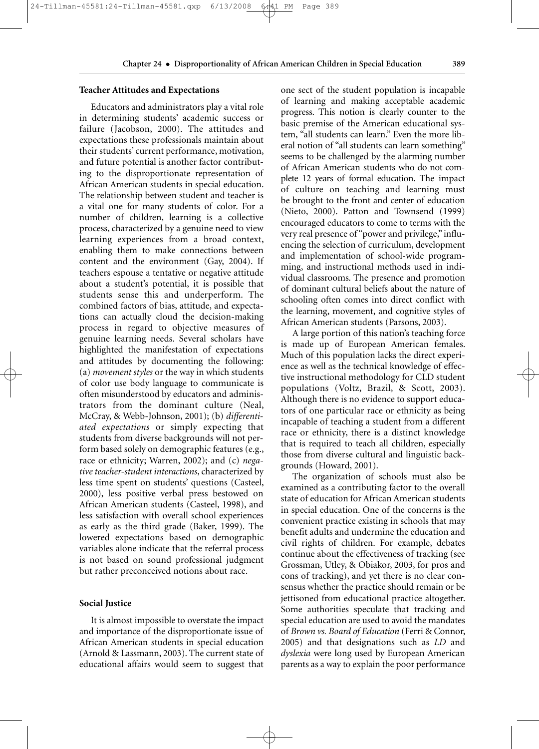24-Tillman-45581:24-Tillman-45581.qxp 6/13/2008 6:41 PM Page 389

#### **Teacher Attitudes and Expectations**

Educators and administrators play a vital role in determining students' academic success or failure (Jacobson, 2000). The attitudes and expectations these professionals maintain about their students' current performance, motivation, and future potential is another factor contributing to the disproportionate representation of African American students in special education. The relationship between student and teacher is a vital one for many students of color. For a number of children, learning is a collective process, characterized by a genuine need to view learning experiences from a broad context, enabling them to make connections between content and the environment (Gay, 2004). If teachers espouse a tentative or negative attitude about a student's potential, it is possible that students sense this and underperform. The combined factors of bias, attitude, and expectations can actually cloud the decision-making process in regard to objective measures of genuine learning needs. Several scholars have highlighted the manifestation of expectations and attitudes by documenting the following: (a) *movement styles* or the way in which students of color use body language to communicate is often misunderstood by educators and administrators from the dominant culture (Neal, McCray, & Webb-Johnson, 2001); (b) *differentiated expectations* or simply expecting that students from diverse backgrounds will not perform based solely on demographic features (e.g., race or ethnicity; Warren, 2002); and (c) *negative teacher-student interactions*, characterized by less time spent on students' questions (Casteel, 2000), less positive verbal press bestowed on African American students (Casteel, 1998), and less satisfaction with overall school experiences as early as the third grade (Baker, 1999). The lowered expectations based on demographic variables alone indicate that the referral process is not based on sound professional judgment but rather preconceived notions about race.

#### **Social Justice**

It is almost impossible to overstate the impact and importance of the disproportionate issue of African American students in special education (Arnold & Lassmann, 2003). The current state of educational affairs would seem to suggest that one sect of the student population is incapable of learning and making acceptable academic progress. This notion is clearly counter to the basic premise of the American educational system, "all students can learn." Even the more liberal notion of "all students can learn something" seems to be challenged by the alarming number of African American students who do not complete 12 years of formal education. The impact of culture on teaching and learning must be brought to the front and center of education (Nieto, 2000). Patton and Townsend (1999) encouraged educators to come to terms with the very real presence of "power and privilege," influencing the selection of curriculum, development and implementation of school-wide programming, and instructional methods used in individual classrooms. The presence and promotion of dominant cultural beliefs about the nature of schooling often comes into direct conflict with the learning, movement, and cognitive styles of African American students (Parsons, 2003).

A large portion of this nation's teaching force is made up of European American females. Much of this population lacks the direct experience as well as the technical knowledge of effective instructional methodology for CLD student populations (Voltz, Brazil, & Scott, 2003). Although there is no evidence to support educators of one particular race or ethnicity as being incapable of teaching a student from a different race or ethnicity, there is a distinct knowledge that is required to teach all children, especially those from diverse cultural and linguistic backgrounds (Howard, 2001).

The organization of schools must also be examined as a contributing factor to the overall state of education for African American students in special education. One of the concerns is the convenient practice existing in schools that may benefit adults and undermine the education and civil rights of children. For example, debates continue about the effectiveness of tracking (see Grossman, Utley, & Obiakor, 2003, for pros and cons of tracking), and yet there is no clear consensus whether the practice should remain or be jettisoned from educational practice altogether. Some authorities speculate that tracking and special education are used to avoid the mandates of *Brown vs. Board of Education* (Ferri & Connor, 2005) and that designations such as *LD* and *dyslexia* were long used by European American parents as a way to explain the poor performance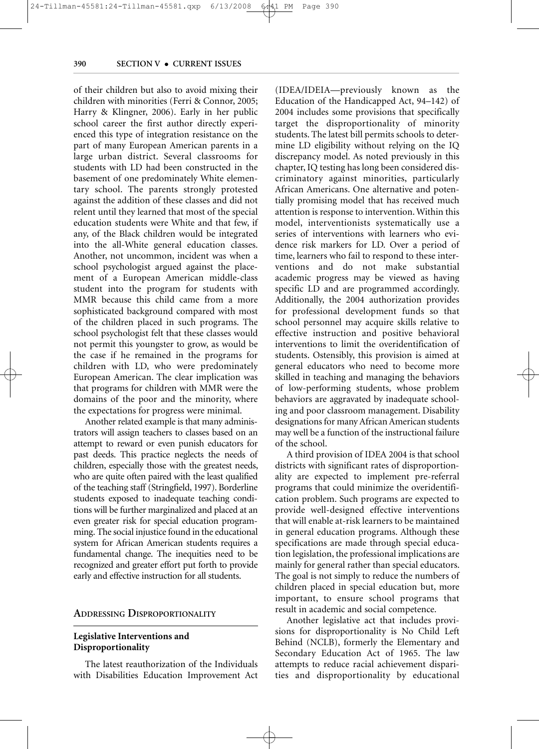of their children but also to avoid mixing their children with minorities (Ferri & Connor, 2005; Harry & Klingner, 2006). Early in her public school career the first author directly experienced this type of integration resistance on the part of many European American parents in a large urban district. Several classrooms for students with LD had been constructed in the basement of one predominately White elementary school. The parents strongly protested against the addition of these classes and did not relent until they learned that most of the special education students were White and that few, if any, of the Black children would be integrated into the all-White general education classes. Another, not uncommon, incident was when a school psychologist argued against the placement of a European American middle-class student into the program for students with MMR because this child came from a more sophisticated background compared with most of the children placed in such programs. The school psychologist felt that these classes would not permit this youngster to grow, as would be the case if he remained in the programs for children with LD, who were predominately European American. The clear implication was that programs for children with MMR were the domains of the poor and the minority, where the expectations for progress were minimal.

Another related example is that many administrators will assign teachers to classes based on an attempt to reward or even punish educators for past deeds. This practice neglects the needs of children, especially those with the greatest needs, who are quite often paired with the least qualified of the teaching staff (Stringfield, 1997). Borderline students exposed to inadequate teaching conditions will be further marginalized and placed at an even greater risk for special education programming. The social injustice found in the educational system for African American students requires a fundamental change. The inequities need to be recognized and greater effort put forth to provide early and effective instruction for all students.

#### **ADDRESSING DISPROPORTIONALITY**

#### **Legislative Interventions and Disproportionality**

The latest reauthorization of the Individuals with Disabilities Education Improvement Act (IDEA/IDEIA—previously known as the Education of the Handicapped Act, 94–142) of 2004 includes some provisions that specifically target the disproportionality of minority students. The latest bill permits schools to determine LD eligibility without relying on the IQ discrepancy model. As noted previously in this chapter, IQ testing has long been considered discriminatory against minorities, particularly African Americans. One alternative and potentially promising model that has received much attention is response to intervention. Within this model, interventionists systematically use a series of interventions with learners who evidence risk markers for LD. Over a period of time, learners who fail to respond to these interventions and do not make substantial academic progress may be viewed as having specific LD and are programmed accordingly. Additionally, the 2004 authorization provides for professional development funds so that school personnel may acquire skills relative to effective instruction and positive behavioral interventions to limit the overidentification of students. Ostensibly, this provision is aimed at general educators who need to become more skilled in teaching and managing the behaviors of low-performing students, whose problem behaviors are aggravated by inadequate schooling and poor classroom management. Disability designations for many African American students may well be a function of the instructional failure of the school.

A third provision of IDEA 2004 is that school districts with significant rates of disproportionality are expected to implement pre-referral programs that could minimize the overidentification problem. Such programs are expected to provide well-designed effective interventions that will enable at-risk learners to be maintained in general education programs. Although these specifications are made through special education legislation, the professional implications are mainly for general rather than special educators. The goal is not simply to reduce the numbers of children placed in special education but, more important, to ensure school programs that result in academic and social competence.

Another legislative act that includes provisions for disproportionality is No Child Left Behind (NCLB), formerly the Elementary and Secondary Education Act of 1965. The law attempts to reduce racial achievement disparities and disproportionality by educational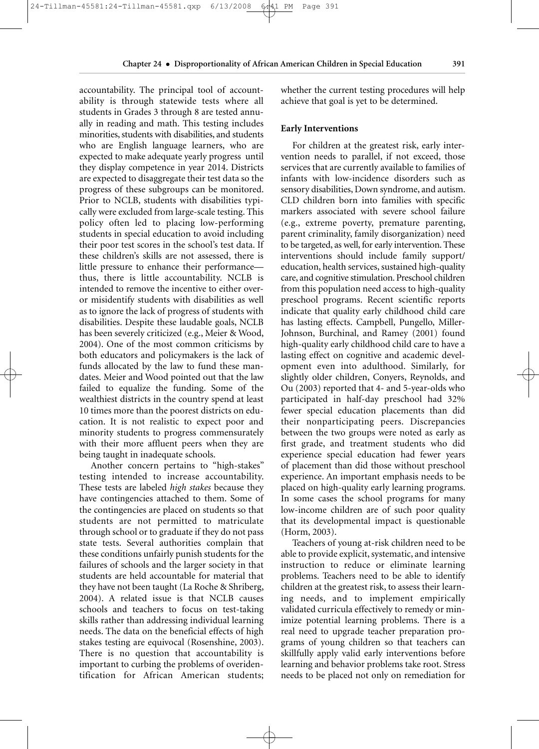accountability. The principal tool of accountability is through statewide tests where all students in Grades 3 through 8 are tested annually in reading and math. This testing includes minorities, students with disabilities, and students who are English language learners, who are expected to make adequate yearly progress until they display competence in year 2014. Districts are expected to disaggregate their test data so the progress of these subgroups can be monitored. Prior to NCLB, students with disabilities typically were excluded from large-scale testing. This policy often led to placing low-performing students in special education to avoid including their poor test scores in the school's test data. If these children's skills are not assessed, there is little pressure to enhance their performance thus, there is little accountability. NCLB is intended to remove the incentive to either overor misidentify students with disabilities as well as to ignore the lack of progress of students with disabilities. Despite these laudable goals, NCLB has been severely criticized (e.g., Meier & Wood, 2004). One of the most common criticisms by both educators and policymakers is the lack of funds allocated by the law to fund these mandates. Meier and Wood pointed out that the law failed to equalize the funding. Some of the wealthiest districts in the country spend at least 10 times more than the poorest districts on education. It is not realistic to expect poor and minority students to progress commensurately with their more affluent peers when they are being taught in inadequate schools.

Another concern pertains to "high-stakes" testing intended to increase accountability. These tests are labeled *high stakes* because they have contingencies attached to them. Some of the contingencies are placed on students so that students are not permitted to matriculate through school or to graduate if they do not pass state tests. Several authorities complain that these conditions unfairly punish students for the failures of schools and the larger society in that students are held accountable for material that they have not been taught (La Roche & Shriberg, 2004). A related issue is that NCLB causes schools and teachers to focus on test-taking skills rather than addressing individual learning needs. The data on the beneficial effects of high stakes testing are equivocal (Rosenshine, 2003). There is no question that accountability is important to curbing the problems of overidentification for African American students; whether the current testing procedures will help achieve that goal is yet to be determined.

#### **Early Interventions**

For children at the greatest risk, early intervention needs to parallel, if not exceed, those services that are currently available to families of infants with low-incidence disorders such as sensory disabilities, Down syndrome, and autism. CLD children born into families with specific markers associated with severe school failure (e.g., extreme poverty, premature parenting, parent criminality, family disorganization) need to be targeted, as well, for early intervention. These interventions should include family support/ education, health services, sustained high-quality care, and cognitive stimulation. Preschool children from this population need access to high-quality preschool programs. Recent scientific reports indicate that quality early childhood child care has lasting effects. Campbell, Pungello, Miller-Johnson, Burchinal, and Ramey (2001) found high-quality early childhood child care to have a lasting effect on cognitive and academic development even into adulthood. Similarly, for slightly older children, Conyers, Reynolds, and Ou (2003) reported that 4- and 5-year-olds who participated in half-day preschool had 32% fewer special education placements than did their nonparticipating peers. Discrepancies between the two groups were noted as early as first grade, and treatment students who did experience special education had fewer years of placement than did those without preschool experience. An important emphasis needs to be placed on high-quality early learning programs. In some cases the school programs for many low-income children are of such poor quality that its developmental impact is questionable (Horm, 2003).

Teachers of young at-risk children need to be able to provide explicit, systematic, and intensive instruction to reduce or eliminate learning problems. Teachers need to be able to identify children at the greatest risk, to assess their learning needs, and to implement empirically validated curricula effectively to remedy or minimize potential learning problems. There is a real need to upgrade teacher preparation programs of young children so that teachers can skillfully apply valid early interventions before learning and behavior problems take root. Stress needs to be placed not only on remediation for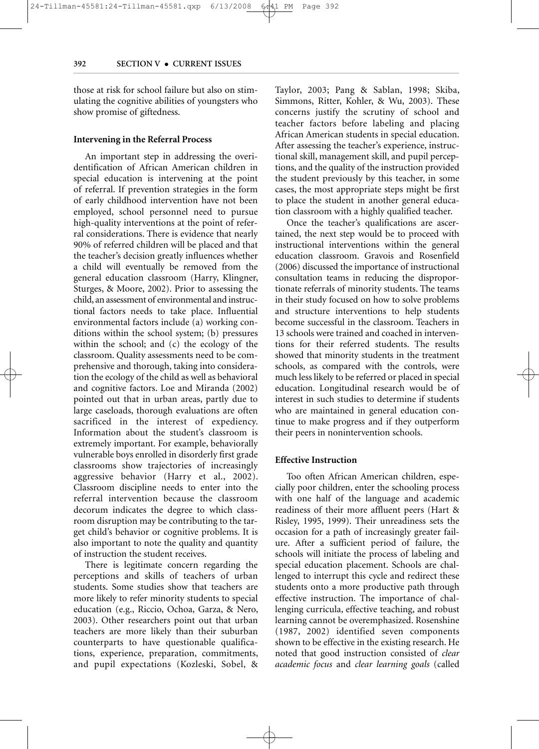those at risk for school failure but also on stimulating the cognitive abilities of youngsters who show promise of giftedness.

#### **Intervening in the Referral Process**

An important step in addressing the overidentification of African American children in special education is intervening at the point of referral. If prevention strategies in the form of early childhood intervention have not been employed, school personnel need to pursue high-quality interventions at the point of referral considerations. There is evidence that nearly 90% of referred children will be placed and that the teacher's decision greatly influences whether a child will eventually be removed from the general education classroom (Harry, Klingner, Sturges, & Moore, 2002). Prior to assessing the child, an assessment of environmental and instructional factors needs to take place. Influential environmental factors include (a) working conditions within the school system; (b) pressures within the school; and (c) the ecology of the classroom. Quality assessments need to be comprehensive and thorough, taking into consideration the ecology of the child as well as behavioral and cognitive factors. Loe and Miranda (2002) pointed out that in urban areas, partly due to large caseloads, thorough evaluations are often sacrificed in the interest of expediency. Information about the student's classroom is extremely important. For example, behaviorally vulnerable boys enrolled in disorderly first grade classrooms show trajectories of increasingly aggressive behavior (Harry et al., 2002). Classroom discipline needs to enter into the referral intervention because the classroom decorum indicates the degree to which classroom disruption may be contributing to the target child's behavior or cognitive problems. It is also important to note the quality and quantity of instruction the student receives.

There is legitimate concern regarding the perceptions and skills of teachers of urban students. Some studies show that teachers are more likely to refer minority students to special education (e.g., Riccio, Ochoa, Garza, & Nero, 2003). Other researchers point out that urban teachers are more likely than their suburban counterparts to have questionable qualifications, experience, preparation, commitments, and pupil expectations (Kozleski, Sobel, & Taylor, 2003; Pang & Sablan, 1998; Skiba, Simmons, Ritter, Kohler, & Wu, 2003). These concerns justify the scrutiny of school and teacher factors before labeling and placing African American students in special education. After assessing the teacher's experience, instructional skill, management skill, and pupil perceptions, and the quality of the instruction provided the student previously by this teacher, in some cases, the most appropriate steps might be first to place the student in another general education classroom with a highly qualified teacher.

Once the teacher's qualifications are ascertained, the next step would be to proceed with instructional interventions within the general education classroom. Gravois and Rosenfield (2006) discussed the importance of instructional consultation teams in reducing the disproportionate referrals of minority students. The teams in their study focused on how to solve problems and structure interventions to help students become successful in the classroom. Teachers in 13 schools were trained and coached in interventions for their referred students. The results showed that minority students in the treatment schools, as compared with the controls, were much less likely to be referred or placed in special education. Longitudinal research would be of interest in such studies to determine if students who are maintained in general education continue to make progress and if they outperform their peers in nonintervention schools.

#### **Effective Instruction**

Too often African American children, especially poor children, enter the schooling process with one half of the language and academic readiness of their more affluent peers (Hart & Risley, 1995, 1999). Their unreadiness sets the occasion for a path of increasingly greater failure. After a sufficient period of failure, the schools will initiate the process of labeling and special education placement. Schools are challenged to interrupt this cycle and redirect these students onto a more productive path through effective instruction. The importance of challenging curricula, effective teaching, and robust learning cannot be overemphasized. Rosenshine (1987, 2002) identified seven components shown to be effective in the existing research. He noted that good instruction consisted of *clear academic focus* and *clear learning goals* (called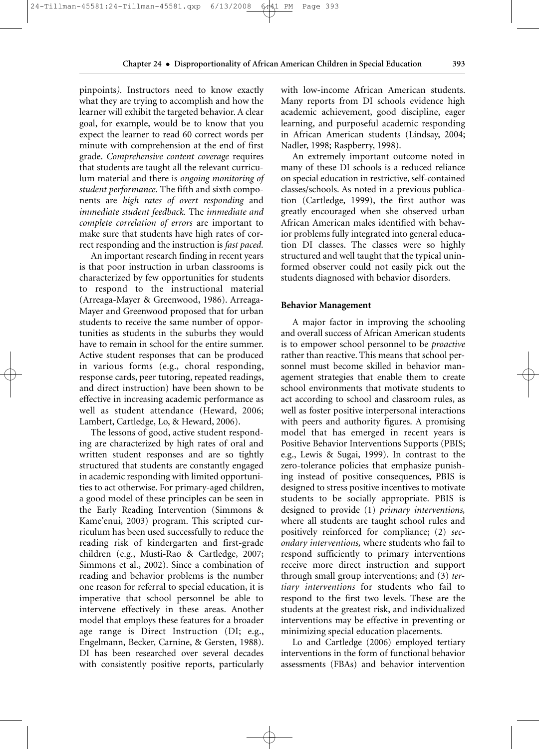pinpoints*).* Instructors need to know exactly what they are trying to accomplish and how the learner will exhibit the targeted behavior. A clear goal, for example, would be to know that you expect the learner to read 60 correct words per minute with comprehension at the end of first grade. *Comprehensive content coverage* requires that students are taught all the relevant curriculum material and there is *ongoing monitoring of student performance.* The fifth and sixth components are *high rates of overt responding* and *immediate student feedback.* The *immediate and complete correlation of errors* are important to make sure that students have high rates of correct responding and the instruction is *fast paced.*

24-Tillman-45581:24-Tillman-45581.qxp 6/13/2008 6:41 PM Page 393

An important research finding in recent years is that poor instruction in urban classrooms is characterized by few opportunities for students to respond to the instructional material (Arreaga-Mayer & Greenwood, 1986). Arreaga-Mayer and Greenwood proposed that for urban students to receive the same number of opportunities as students in the suburbs they would have to remain in school for the entire summer. Active student responses that can be produced in various forms (e.g., choral responding, response cards, peer tutoring, repeated readings, and direct instruction) have been shown to be effective in increasing academic performance as well as student attendance (Heward, 2006; Lambert, Cartledge, Lo, & Heward, 2006).

The lessons of good, active student responding are characterized by high rates of oral and written student responses and are so tightly structured that students are constantly engaged in academic responding with limited opportunities to act otherwise. For primary-aged children, a good model of these principles can be seen in the Early Reading Intervention (Simmons & Kame'enui, 2003) program. This scripted curriculum has been used successfully to reduce the reading risk of kindergarten and first-grade children (e.g., Musti-Rao & Cartledge, 2007; Simmons et al., 2002). Since a combination of reading and behavior problems is the number one reason for referral to special education, it is imperative that school personnel be able to intervene effectively in these areas. Another model that employs these features for a broader age range is Direct Instruction (DI; e.g., Engelmann, Becker, Carnine, & Gersten, 1988). DI has been researched over several decades with consistently positive reports, particularly with low-income African American students. Many reports from DI schools evidence high academic achievement, good discipline, eager learning, and purposeful academic responding in African American students (Lindsay, 2004; Nadler, 1998; Raspberry, 1998).

An extremely important outcome noted in many of these DI schools is a reduced reliance on special education in restrictive, self-contained classes/schools. As noted in a previous publication (Cartledge, 1999), the first author was greatly encouraged when she observed urban African American males identified with behavior problems fully integrated into general education DI classes. The classes were so highly structured and well taught that the typical uninformed observer could not easily pick out the students diagnosed with behavior disorders.

#### **Behavior Management**

A major factor in improving the schooling and overall success of African American students is to empower school personnel to be *proactive* rather than reactive. This means that school personnel must become skilled in behavior management strategies that enable them to create school environments that motivate students to act according to school and classroom rules, as well as foster positive interpersonal interactions with peers and authority figures. A promising model that has emerged in recent years is Positive Behavior Interventions Supports (PBIS; e.g., Lewis & Sugai, 1999). In contrast to the zero-tolerance policies that emphasize punishing instead of positive consequences, PBIS is designed to stress positive incentives to motivate students to be socially appropriate. PBIS is designed to provide (1) *primary interventions,* where all students are taught school rules and positively reinforced for compliance; (2) *secondary interventions,* where students who fail to respond sufficiently to primary interventions receive more direct instruction and support through small group interventions; and (3) *tertiary interventions* for students who fail to respond to the first two levels. These are the students at the greatest risk, and individualized interventions may be effective in preventing or minimizing special education placements.

Lo and Cartledge (2006) employed tertiary interventions in the form of functional behavior assessments (FBAs) and behavior intervention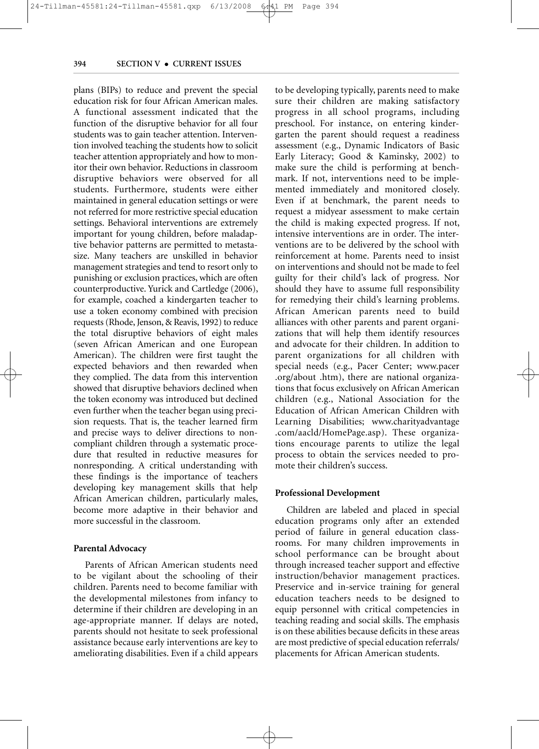plans (BIPs) to reduce and prevent the special education risk for four African American males. A functional assessment indicated that the function of the disruptive behavior for all four students was to gain teacher attention. Intervention involved teaching the students how to solicit teacher attention appropriately and how to monitor their own behavior. Reductions in classroom disruptive behaviors were observed for all students. Furthermore, students were either maintained in general education settings or were not referred for more restrictive special education settings. Behavioral interventions are extremely important for young children, before maladaptive behavior patterns are permitted to metastasize. Many teachers are unskilled in behavior management strategies and tend to resort only to punishing or exclusion practices, which are often counterproductive. Yurick and Cartledge (2006), for example, coached a kindergarten teacher to use a token economy combined with precision requests (Rhode, Jenson, & Reavis, 1992) to reduce the total disruptive behaviors of eight males (seven African American and one European American). The children were first taught the expected behaviors and then rewarded when they complied. The data from this intervention showed that disruptive behaviors declined when the token economy was introduced but declined even further when the teacher began using precision requests. That is, the teacher learned firm and precise ways to deliver directions to noncompliant children through a systematic procedure that resulted in reductive measures for nonresponding. A critical understanding with these findings is the importance of teachers developing key management skills that help African American children, particularly males, become more adaptive in their behavior and more successful in the classroom.

#### **Parental Advocacy**

Parents of African American students need to be vigilant about the schooling of their children. Parents need to become familiar with the developmental milestones from infancy to determine if their children are developing in an age-appropriate manner. If delays are noted, parents should not hesitate to seek professional assistance because early interventions are key to ameliorating disabilities. Even if a child appears to be developing typically, parents need to make sure their children are making satisfactory progress in all school programs, including preschool. For instance, on entering kindergarten the parent should request a readiness assessment (e.g., Dynamic Indicators of Basic Early Literacy; Good & Kaminsky, 2002) to make sure the child is performing at benchmark. If not, interventions need to be implemented immediately and monitored closely. Even if at benchmark, the parent needs to request a midyear assessment to make certain the child is making expected progress. If not, intensive interventions are in order. The interventions are to be delivered by the school with reinforcement at home. Parents need to insist on interventions and should not be made to feel guilty for their child's lack of progress. Nor should they have to assume full responsibility for remedying their child's learning problems. African American parents need to build alliances with other parents and parent organizations that will help them identify resources and advocate for their children. In addition to parent organizations for all children with special needs (e.g., Pacer Center; www.pacer .org/about .htm), there are national organizations that focus exclusively on African American children (e.g., National Association for the Education of African American Children with Learning Disabilities; www.charityadvantage .com/aacld/HomePage.asp). These organizations encourage parents to utilize the legal process to obtain the services needed to promote their children's success.

#### **Professional Development**

Children are labeled and placed in special education programs only after an extended period of failure in general education classrooms. For many children improvements in school performance can be brought about through increased teacher support and effective instruction/behavior management practices. Preservice and in-service training for general education teachers needs to be designed to equip personnel with critical competencies in teaching reading and social skills. The emphasis is on these abilities because deficits in these areas are most predictive of special education referrals/ placements for African American students.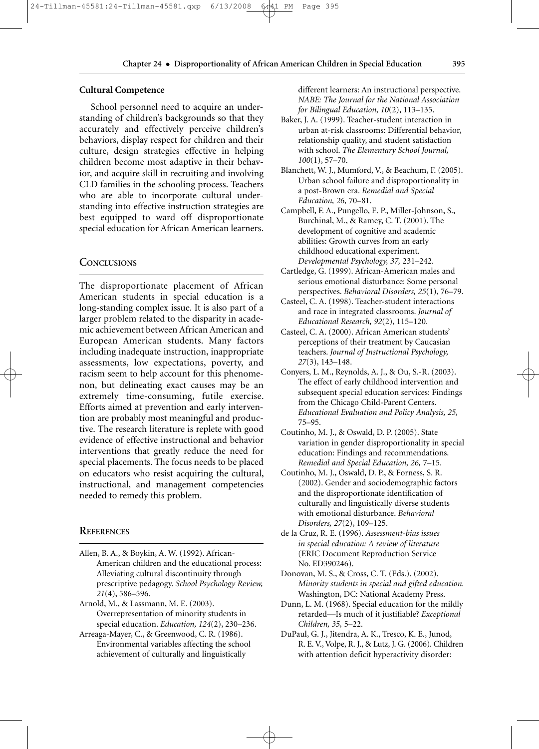#### **Cultural Competence**

School personnel need to acquire an understanding of children's backgrounds so that they accurately and effectively perceive children's behaviors, display respect for children and their culture, design strategies effective in helping children become most adaptive in their behavior, and acquire skill in recruiting and involving CLD families in the schooling process. Teachers who are able to incorporate cultural understanding into effective instruction strategies are best equipped to ward off disproportionate special education for African American learners.

#### **CONCLUSIONS**

The disproportionate placement of African American students in special education is a long-standing complex issue. It is also part of a larger problem related to the disparity in academic achievement between African American and European American students. Many factors including inadequate instruction, inappropriate assessments, low expectations, poverty, and racism seem to help account for this phenomenon, but delineating exact causes may be an extremely time-consuming, futile exercise. Efforts aimed at prevention and early intervention are probably most meaningful and productive. The research literature is replete with good evidence of effective instructional and behavior interventions that greatly reduce the need for special placements. The focus needs to be placed on educators who resist acquiring the cultural, instructional, and management competencies needed to remedy this problem.

#### **REFERENCES**

Allen, B. A., & Boykin, A. W. (1992). African-American children and the educational process: Alleviating cultural discontinuity through prescriptive pedagogy. *School Psychology Review, 21*(4), 586–596.

Arnold, M., & Lassmann, M. E. (2003). Overrepresentation of minority students in special education. *Education, 124*(2), 230–236.

Arreaga-Mayer, C., & Greenwood, C. R. (1986). Environmental variables affecting the school achievement of culturally and linguistically

different learners: An instructional perspective. *NABE: The Journal for the National Association for Bilingual Education, 10*(2), 113–135.

- Baker, J. A. (1999). Teacher-student interaction in urban at-risk classrooms: Differential behavior, relationship quality, and student satisfaction with school. *The Elementary School Journal, 100*(1), 57–70.
- Blanchett, W. J., Mumford, V., & Beachum, F. (2005). Urban school failure and disproportionality in a post-Brown era. *Remedial and Special Education, 26,* 70–81.
- Campbell, F. A., Pungello, E. P., Miller-Johnson, S., Burchinal, M., & Ramey, C. T. (2001). The development of cognitive and academic abilities: Growth curves from an early childhood educational experiment. *Developmental Psychology, 37,* 231–242.
- Cartledge, G. (1999). African-American males and serious emotional disturbance: Some personal perspectives. *Behavioral Disorders, 25*(1), 76–79.
- Casteel, C. A. (1998). Teacher-student interactions and race in integrated classrooms. *Journal of Educational Research, 92*(2), 115–120.
- Casteel, C. A. (2000). African American students' perceptions of their treatment by Caucasian teachers. *Journal of Instructional Psychology, 27*(3), 143–148.
- Conyers, L. M., Reynolds, A. J., & Ou, S.-R. (2003). The effect of early childhood intervention and subsequent special education services: Findings from the Chicago Child-Parent Centers. *Educational Evaluation and Policy Analysis, 25,* 75–95.
- Coutinho, M. J., & Oswald, D. P. (2005). State variation in gender disproportionality in special education: Findings and recommendations. *Remedial and Special Education, 26,* 7–15.
- Coutinho, M. J., Oswald, D. P., & Forness, S. R. (2002). Gender and sociodemographic factors and the disproportionate identification of culturally and linguistically diverse students with emotional disturbance. *Behavioral Disorders, 27*(2), 109–125.
- de la Cruz, R. E. (1996). *Assessment-bias issues in special education: A review of literature* (ERIC Document Reproduction Service No. ED390246).
- Donovan, M. S., & Cross, C. T. (Eds.). (2002). *Minority students in special and gifted education.* Washington, DC: National Academy Press.
- Dunn, L. M. (1968). Special education for the mildly retarded—Is much of it justifiable? *Exceptional Children, 35,* 5–22.
- DuPaul, G. J., Jitendra, A. K., Tresco, K. E., Junod, R. E. V., Volpe, R. J., & Lutz, J. G. (2006). Children with attention deficit hyperactivity disorder: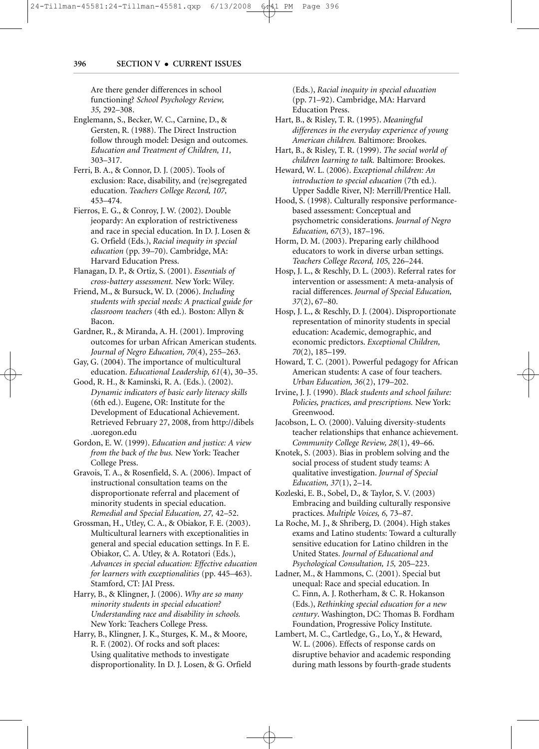24-Tillman-45581:24-Tillman-45581.qxp 6/13/2008 6:41 PM Page 396

#### **396 SECTION V** • **CURRENT ISSUES**

Are there gender differences in school functioning? *School Psychology Review, 35,* 292–308.

- Englemann, S., Becker, W. C., Carnine, D., & Gersten, R. (1988). The Direct Instruction follow through model: Design and outcomes. *Education and Treatment of Children, 11,* 303–317.
- Ferri, B. A., & Connor, D. J. (2005). Tools of exclusion: Race, disability, and (re)segregated education. *Teachers College Record, 107,* 453–474.
- Fierros, E. G., & Conroy, J. W. (2002). Double jeopardy: An exploration of restrictiveness and race in special education. In D. J. Losen & G. Orfield (Eds.), *Racial inequity in special education* (pp. 39–70). Cambridge, MA: Harvard Education Press.
- Flanagan, D. P., & Ortiz, S. (2001). *Essentials of cross-battery assessment.* New York: Wiley.
- Friend, M., & Bursuck, W. D. (2006). *Including students with special needs: A practical guide for classroom teachers* (4th ed.)*.* Boston: Allyn & Bacon.
- Gardner, R., & Miranda, A. H. (2001). Improving outcomes for urban African American students. *Journal of Negro Education, 70*(4), 255–263.
- Gay, G. (2004). The importance of multicultural education. *Educational Leadership, 61*(4), 30–35.
- Good, R. H., & Kaminski, R. A. (Eds.). (2002). *Dynamic indicators of basic early literacy skills* (6th ed.). Eugene, OR: Institute for the Development of Educational Achievement. Retrieved February 27, 2008, from http://dibels .uoregon.edu
- Gordon, E. W. (1999). *Education and justice: A view from the back of the bus.* New York: Teacher College Press.
- Gravois, T. A., & Rosenfield, S. A. (2006). Impact of instructional consultation teams on the disproportionate referral and placement of minority students in special education. *Remedial and Special Education, 27,* 42–52.
- Grossman, H., Utley, C. A., & Obiakor, F. E. (2003). Multicultural learners with exceptionalities in general and special education settings. In F. E. Obiakor, C. A. Utley, & A. Rotatori (Eds.), *Advances in special education: Effective education for learners with exceptionalities* (pp. 445–463). Stamford, CT: JAI Press.
- Harry, B., & Klingner, J. (2006). *Why are so many minority students in special education? Understanding race and disability in schools.* New York: Teachers College Press.
- Harry, B., Klingner, J. K., Sturges, K. M., & Moore, R. F. (2002). Of rocks and soft places: Using qualitative methods to investigate disproportionality. In D. J. Losen, & G. Orfield

(Eds.), *Racial inequity in special education* (pp. 71–92). Cambridge, MA: Harvard Education Press.

PM

- Hart, B., & Risley, T. R. (1995). *Meaningful differences in the everyday experience of young American children.* Baltimore: Brookes.
- Hart, B., & Risley, T. R. (1999). *The social world of children learning to talk.* Baltimore: Brookes.
- Heward, W. L. (2006). *Exceptional children: An introduction to special education* (7th ed.). Upper Saddle River, NJ: Merrill/Prentice Hall.
- Hood, S. (1998). Culturally responsive performancebased assessment: Conceptual and psychometric considerations. *Journal of Negro Education, 67*(3), 187–196.
- Horm, D. M. (2003). Preparing early childhood educators to work in diverse urban settings. *Teachers College Record, 105,* 226–244.
- Hosp, J. L., & Reschly, D. L. (2003). Referral rates for intervention or assessment: A meta-analysis of racial differences. *Journal of Special Education, 37*(2), 67–80.
- Hosp, J. L., & Reschly, D. J. (2004). Disproportionate representation of minority students in special education: Academic, demographic, and economic predictors. *Exceptional Children, 70*(2), 185–199.
- Howard, T. C. (2001). Powerful pedagogy for African American students: A case of four teachers. *Urban Education, 36*(2), 179–202.
- Irvine, J. J. (1990). *Black students and school failure: Policies, practices, and prescriptions.* New York: Greenwood.
- Jacobson, L. O. (2000). Valuing diversity-students teacher relationships that enhance achievement. *Community College Review, 28*(1), 49–66.
- Knotek, S. (2003). Bias in problem solving and the social process of student study teams: A qualitative investigation. *Journal of Special Education, 37*(1), 2–14.
- Kozleski, E. B., Sobel, D., & Taylor, S. V. (2003) Embracing and building culturally responsive practices. *Multiple Voices, 6,* 73–87.
- La Roche, M. J., & Shriberg, D. (2004). High stakes exams and Latino students: Toward a culturally sensitive education for Latino children in the United States. *Journal of Educational and Psychological Consultation, 15,* 205–223.
- Ladner, M., & Hammons, C. (2001). Special but unequal: Race and special education. In C. Finn, A. J. Rotherham, & C. R. Hokanson (Eds.), *Rethinking special education for a new century*. Washington, DC: Thomas B. Fordham Foundation, Progressive Policy Institute.
- Lambert, M. C., Cartledge, G., Lo, Y., & Heward, W. L. (2006). Effects of response cards on disruptive behavior and academic responding during math lessons by fourth-grade students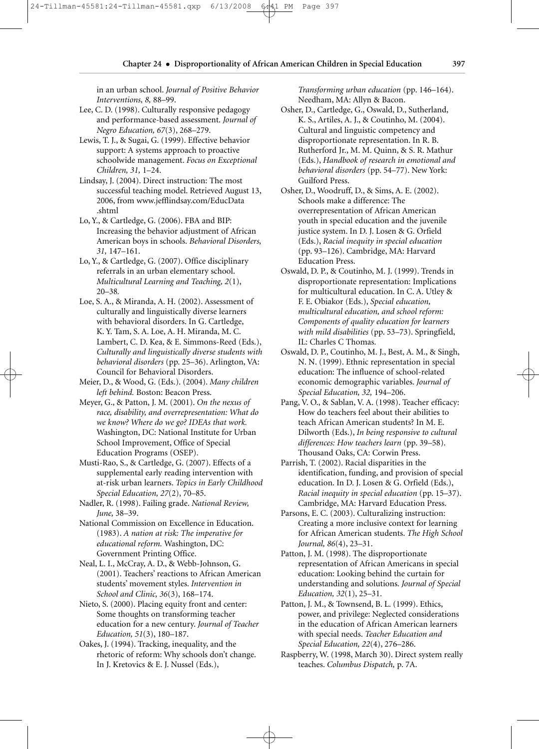**Chapter 24** • **Disproportionality of African American Children in Special Education 397**

in an urban school. *Journal of Positive Behavior Interventions, 8,* 88–99.

- Lee, C. D. (1998). Culturally responsive pedagogy and performance-based assessment. *Journal of Negro Education, 67*(3), 268–279.
- Lewis, T. J., & Sugai, G. (1999). Effective behavior support: A systems approach to proactive schoolwide management. *Focus on Exceptional Children, 31,* 1–24.
- Lindsay, J. (2004). Direct instruction: The most successful teaching model. Retrieved August 13, 2006, from www.jefflindsay.com/EducData .shtml
- Lo, Y., & Cartledge, G. (2006). FBA and BIP: Increasing the behavior adjustment of African American boys in schools. *Behavioral Disorders, 31,* 147–161.
- Lo, Y., & Cartledge, G. (2007). Office disciplinary referrals in an urban elementary school. *Multicultural Learning and Teaching, 2*(1), 20–38*.*
- Loe, S. A., & Miranda, A. H. (2002). Assessment of culturally and linguistically diverse learners with behavioral disorders. In G. Cartledge, K. Y. Tam, S. A. Loe, A. H. Miranda, M. C. Lambert, C. D. Kea, & E. Simmons-Reed (Eds.), *Culturally and linguistically diverse students with behavioral disorders* (pp. 25–36). Arlington, VA: Council for Behavioral Disorders.
- Meier, D., & Wood, G. (Eds.). (2004). *Many children left behind.* Boston: Beacon Press.
- Meyer, G., & Patton, J. M. (2001). *On the nexus of race, disability, and overrepresentation: What do we know? Where do we go? IDEAs that work.* Washington, DC: National Institute for Urban School Improvement, Office of Special Education Programs (OSEP).
- Musti-Rao, S., & Cartledge, G. (2007). Effects of a supplemental early reading intervention with at-risk urban learners. *Topics in Early Childhood Special Education, 27*(2), 70–85.
- Nadler, R. (1998). Failing grade. *National Review, June,* 38–39.
- National Commission on Excellence in Education. (1983). *A nation at risk: The imperative for educational reform.* Washington, DC: Government Printing Office.
- Neal, L. I., McCray, A. D., & Webb-Johnson, G. (2001). Teachers' reactions to African American students' movement styles. *Intervention in School and Clinic, 36*(3), 168–174.
- Nieto, S. (2000). Placing equity front and center: Some thoughts on transforming teacher education for a new century. *Journal of Teacher Education, 51*(3), 180–187.
- Oakes, J. (1994). Tracking, inequality, and the rhetoric of reform: Why schools don't change. In J. Kretovics & E. J. Nussel (Eds.),

*Transforming urban education* (pp. 146–164). Needham, MA: Allyn & Bacon.

- Osher, D., Cartledge, G., Oswald, D., Sutherland, K. S., Artiles, A. J., & Coutinho, M. (2004). Cultural and linguistic competency and disproportionate representation. In R. B. Rutherford Jr., M. M. Quinn, & S. R. Mathur (Eds.), *Handbook of research in emotional and behavioral disorders* (pp. 54–77). New York: Guilford Press.
- Osher, D., Woodruff, D., & Sims, A. E. (2002). Schools make a difference: The overrepresentation of African American youth in special education and the juvenile justice system. In D. J. Losen & G. Orfield (Eds.), *Racial inequity in special education*  (pp. 93–126). Cambridge, MA: Harvard Education Press.
- Oswald, D. P., & Coutinho, M. J. (1999). Trends in disproportionate representation: Implications for multicultural education. In C. A. Utley & F. E. Obiakor (Eds.), *Special education, multicultural education, and school reform: Components of quality education for learners with mild disabilities* (pp. 53–73). Springfield, IL: Charles C Thomas.
- Oswald, D. P., Coutinho, M. J., Best, A. M., & Singh, N. N. (1999). Ethnic representation in special education: The influence of school-related economic demographic variables. *Journal of Special Education, 32,* 194–206.
- Pang, V. O., & Sablan, V. A. (1998). Teacher efficacy: How do teachers feel about their abilities to teach African American students? In M. E. Dilworth (Eds.), *In being responsive to cultural differences: How teachers learn* (pp. 39–58). Thousand Oaks, CA: Corwin Press.
- Parrish, T. (2002). Racial disparities in the identification, funding, and provision of special education. In D. J. Losen & G. Orfield (Eds.), *Racial inequity in special education* (pp. 15–37). Cambridge, MA: Harvard Education Press.
- Parsons, E. C. (2003). Culturalizing instruction: Creating a more inclusive context for learning for African American students. *The High School Journal, 86*(4), 23–31.
- Patton, J. M. (1998). The disproportionate representation of African Americans in special education: Looking behind the curtain for understanding and solutions. *Journal of Special Education, 32*(1), 25–31.
- Patton, J. M., & Townsend, B. L. (1999). Ethics, power, and privilege: Neglected considerations in the education of African American learners with special needs. *Teacher Education and Special Education, 22*(4), 276–286.
- Raspberry, W. (1998, March 30). Direct system really teaches. *Columbus Dispatch,* p. 7A.